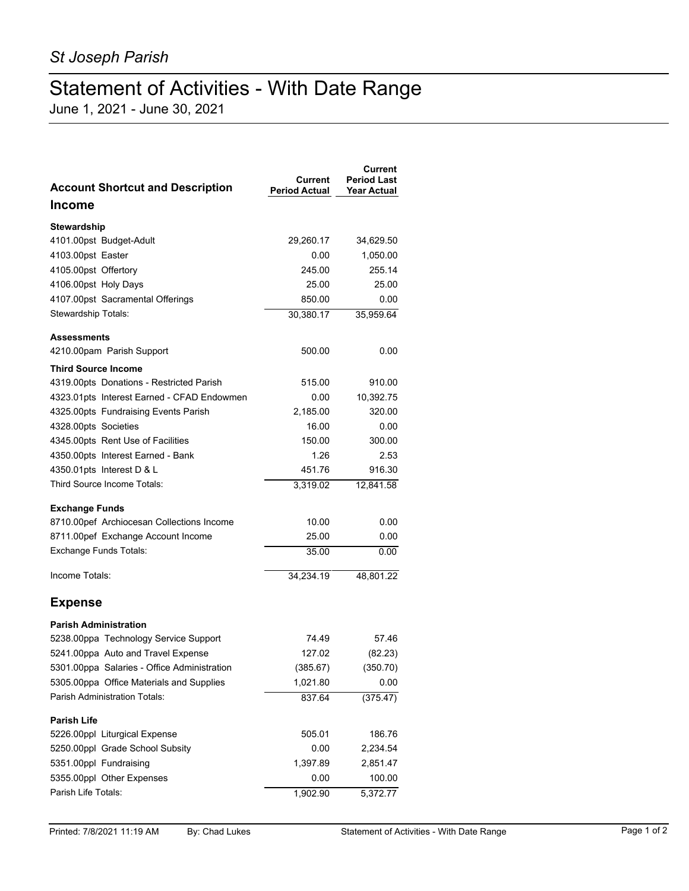## Statement of Activities - With Date Range

June 1, 2021 - June 30, 2021

| <b>Account Shortcut and Description</b>     | Current<br><b>Period Actual</b> | Current<br><b>Period Last</b><br>Year Actual |
|---------------------------------------------|---------------------------------|----------------------------------------------|
| Income                                      |                                 |                                              |
| <b>Stewardship</b>                          |                                 |                                              |
| 4101.00pst Budget-Adult                     | 29,260.17                       | 34,629.50                                    |
| 4103.00pst Easter                           | 0.00                            | 1,050.00                                     |
| 4105.00pst Offertory                        | 245.00                          | 255.14                                       |
| 4106.00pst Holy Days                        | 25.00                           | 25.00                                        |
| 4107.00pst Sacramental Offerings            | 850.00                          | 0.00                                         |
| Stewardship Totals:                         | 30,380.17                       | 35,959.64                                    |
| <b>Assessments</b>                          |                                 |                                              |
| 4210.00pam Parish Support                   | 500.00                          | 0.00                                         |
| <b>Third Source Income</b>                  |                                 |                                              |
| 4319.00pts Donations - Restricted Parish    | 515.00                          | 910.00                                       |
| 4323.01pts Interest Earned - CFAD Endowmen  | 0.00                            | 10,392.75                                    |
| 4325.00pts Fundraising Events Parish        | 2,185.00                        | 320.00                                       |
| 4328.00pts Societies                        | 16.00                           | 0.00                                         |
| 4345.00pts Rent Use of Facilities           | 150.00                          | 300.00                                       |
| 4350.00pts Interest Earned - Bank           | 1.26                            | 2.53                                         |
| 4350.01pts Interest D & L                   | 451.76                          | 916.30                                       |
| Third Source Income Totals:                 | 3,319.02                        | 12,841.58                                    |
| <b>Exchange Funds</b>                       |                                 |                                              |
| 8710.00pef Archiocesan Collections Income   | 10.00                           | 0.00                                         |
| 8711.00pef Exchange Account Income          | 25.00                           | 0.00                                         |
| Exchange Funds Totals:                      | 35.00                           | 0.00                                         |
| Income Totals:                              | 34,234.19                       | 48,801.22                                    |
| <b>Expense</b>                              |                                 |                                              |
| <b>Parish Administration</b>                |                                 |                                              |
| 5238.00ppa Technology Service Support       | 74.49                           | 57.46                                        |
| 5241.00ppa Auto and Travel Expense          | 127.02                          | (82.23)                                      |
| 5301.00ppa Salaries - Office Administration | (385.67)                        | (350.70)                                     |
| 5305.00ppa Office Materials and Supplies    | 1,021.80                        | 0.00                                         |
| <b>Parish Administration Totals:</b>        | 837.64                          | (375.47)                                     |
| <b>Parish Life</b>                          |                                 |                                              |
| 5226.00ppl Liturgical Expense               | 505.01                          | 186.76                                       |
| 5250.00ppl Grade School Subsity             | 0.00                            | 2,234.54                                     |
| 5351.00ppl Fundraising                      | 1,397.89                        | 2,851.47                                     |
| 5355.00ppl Other Expenses                   | 0.00                            | 100.00                                       |
| Parish Life Totals:                         | 1,902.90                        | 5,372.77                                     |